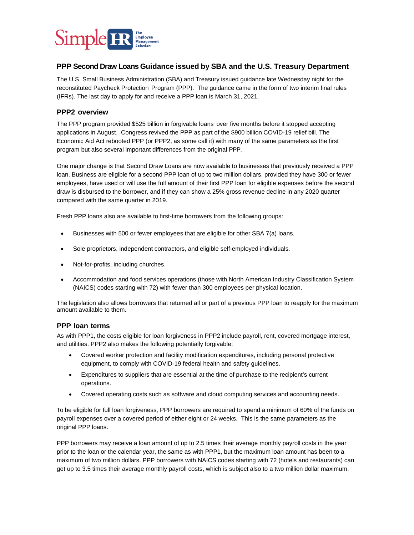

## **PPP Second Draw Loans Guidance issued by SBA and the U.S. Treasury Department**

The U.S. Small Business Administration (SBA) and Treasury issued guidance late Wednesday night for the reconstituted Paycheck Protection Program (PPP). The guidance came in the form of two interim final rules (IFRs). The last day to apply for and receive a PPP loan is March 31, 2021.

## **PPP2 overview**

The PPP program provided \$525 billion in forgivable loan[s](https://docs.house.gov/billsthisweek/20201221/BILLS-116HR133SA-RCP-116-68.pdf) over five months before it stopped accepting applications in August. Congress revived the PPP as part of the \$900 billion COVID-19 relief bill. The Economic Aid Act rebooted PPP (or PPP2, as some call it) with many of the same parameters as the first program but also several important differences from the original PPP.

One major change is that Second Draw Loans are now available to businesses that previously received a PPP loan. Business are eligible for a second PPP loan of up to two million dollars, provided they have 300 or fewer employees, have used or will use the full amount of their first PPP loan for eligible expenses before the second draw is disbursed to the borrower, and if they can show a 25% gross revenue decline in any 2020 quarter compared with the same quarter in 2019.

Fresh PPP loans also are available to first-time borrowers from the following groups:

- Businesses with 500 or fewer employees that are eligible for other SBA 7(a) loans.
- Sole proprietors, independent contractors, and eligible self-employed individuals.
- Not-for-profits, including churches.
- Accommodation and food services operations (those with North American Industry Classification System (NAICS) codes starting with 72) with fewer than 300 employees per physical location.

The legislation also allows borrowers that returned all or part of a previous PPP loan to reapply for the maximum amount available to them.

## **PPP loan terms**

As with PPP1, the costs eligible for loan forgiveness in PPP2 include payroll, rent, covered mortgage interest, and utilities. PPP2 also makes the following potentially forgivable:

- Covered worker protection and facility modification expenditures, including personal protective equipment, to comply with COVID-19 federal health and safety guidelines.
- Expenditures to suppliers that are essential at the time of purchase to the recipient's current operations.
- Covered operating costs such as software and cloud computing services and accounting needs.

To be eligible for full loan forgiveness, PPP borrowers are required to spend a minimum of 60% of the funds on payroll expenses over a covered period of either eight or 24 weeks. This is the same parameters as the original PPP loans.

PPP borrowers may receive a loan amount of up to 2.5 times their average monthly payroll costs in the year prior to the loan or the calendar year, the same as with PPP1, but the maximum loan amount has been to a maximum of two million dollars. PPP borrowers with NAICS codes starting with 72 (hotels and restaurants) can get up to 3.5 times their average monthly payroll costs, which is subject also to a two million dollar maximum.